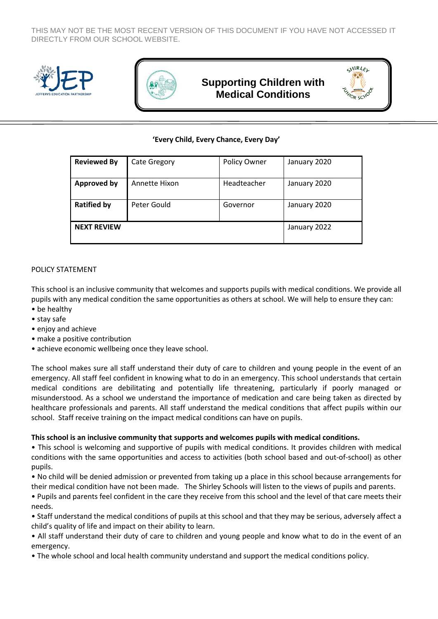THIS MAY NOT BE THE MOST RECENT VERSION OF THIS DOCUMENT IF YOU HAVE NOT ACCESSED IT DIRECTLY FROM OUR SCHOOL WEBSITE.





# **Supporting Children with Medical Conditions**

**SHIRLEL**  $\mathbf{o}$ , $\mathbf{o}$ 

### **'Every Child, Every Chance, Every Day'**

| <b>Reviewed By</b> | <b>Cate Gregory</b> | Policy Owner | January 2020 |
|--------------------|---------------------|--------------|--------------|
| <b>Approved by</b> | Annette Hixon       | Headteacher  | January 2020 |
| <b>Ratified by</b> | Peter Gould         | Governor     | January 2020 |
| <b>NEXT REVIEW</b> |                     |              | January 2022 |

#### POLICY STATEMENT

This school is an inclusive community that welcomes and supports pupils with medical conditions. We provide all pupils with any medical condition the same opportunities as others at school. We will help to ensure they can: • be healthy

- stay safe
- enjoy and achieve
- make a positive contribution
- achieve economic wellbeing once they leave school.

The school makes sure all staff understand their duty of care to children and young people in the event of an emergency. All staff feel confident in knowing what to do in an emergency. This school understands that certain medical conditions are debilitating and potentially life threatening, particularly if poorly managed or misunderstood. As a school we understand the importance of medication and care being taken as directed by healthcare professionals and parents. All staff understand the medical conditions that affect pupils within our school. Staff receive training on the impact medical conditions can have on pupils.

#### **This school is an inclusive community that supports and welcomes pupils with medical conditions.**

• This school is welcoming and supportive of pupils with medical conditions. It provides children with medical conditions with the same opportunities and access to activities (both school based and out-of-school) as other pupils.

• No child will be denied admission or prevented from taking up a place in this school because arrangements for their medical condition have not been made. The Shirley Schools will listen to the views of pupils and parents.

• Pupils and parents feel confident in the care they receive from this school and the level of that care meets their needs.

• Staff understand the medical conditions of pupils at this school and that they may be serious, adversely affect a child's quality of life and impact on their ability to learn.

• All staff understand their duty of care to children and young people and know what to do in the event of an emergency.

• The whole school and local health community understand and support the medical conditions policy.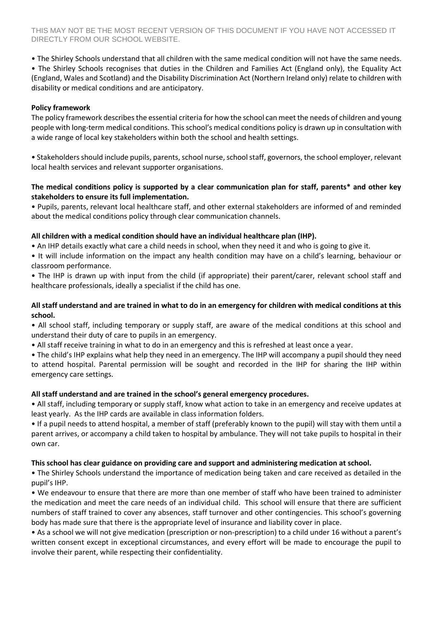• The Shirley Schools understand that all children with the same medical condition will not have the same needs.

• The Shirley Schools recognises that duties in the Children and Families Act (England only), the Equality Act (England, Wales and Scotland) and the Disability Discrimination Act (Northern Ireland only) relate to children with disability or medical conditions and are anticipatory.

### **Policy framework**

The policy framework describes the essential criteria for how the school can meet the needs of children and young people with long-term medical conditions. This school's medical conditions policy is drawn up in consultation with a wide range of local key stakeholders within both the school and health settings.

• Stakeholders should include pupils, parents, school nurse, school staff, governors, the school employer, relevant local health services and relevant supporter organisations.

# **The medical conditions policy is supported by a clear communication plan for staff, parents\* and other key stakeholders to ensure its full implementation.**

• Pupils, parents, relevant local healthcare staff, and other external stakeholders are informed of and reminded about the medical conditions policy through clear communication channels.

# **All children with a medical condition should have an individual healthcare plan (IHP).**

• An IHP details exactly what care a child needs in school, when they need it and who is going to give it.

• It will include information on the impact any health condition may have on a child's learning, behaviour or classroom performance.

• The IHP is drawn up with input from the child (if appropriate) their parent/carer, relevant school staff and healthcare professionals, ideally a specialist if the child has one.

### **All staff understand and are trained in what to do in an emergency for children with medical conditions at this school.**

• All school staff, including temporary or supply staff, are aware of the medical conditions at this school and understand their duty of care to pupils in an emergency.

• All staff receive training in what to do in an emergency and this is refreshed at least once a year.

• The child's IHP explains what help they need in an emergency. The IHP will accompany a pupil should they need to attend hospital. Parental permission will be sought and recorded in the IHP for sharing the IHP within emergency care settings.

# **All staff understand and are trained in the school's general emergency procedures.**

• All staff, including temporary or supply staff, know what action to take in an emergency and receive updates at least yearly. As the IHP cards are available in class information folders.

• If a pupil needs to attend hospital, a member of staff (preferably known to the pupil) will stay with them until a parent arrives, or accompany a child taken to hospital by ambulance. They will not take pupils to hospital in their own car.

# **This school has clear guidance on providing care and support and administering medication at school.**

• The Shirley Schools understand the importance of medication being taken and care received as detailed in the pupil's IHP.

• We endeavour to ensure that there are more than one member of staff who have been trained to administer the medication and meet the care needs of an individual child. This school will ensure that there are sufficient numbers of staff trained to cover any absences, staff turnover and other contingencies. This school's governing body has made sure that there is the appropriate level of insurance and liability cover in place.

• As a school we will not give medication (prescription or non-prescription) to a child under 16 without a parent's written consent except in exceptional circumstances, and every effort will be made to encourage the pupil to involve their parent, while respecting their confidentiality.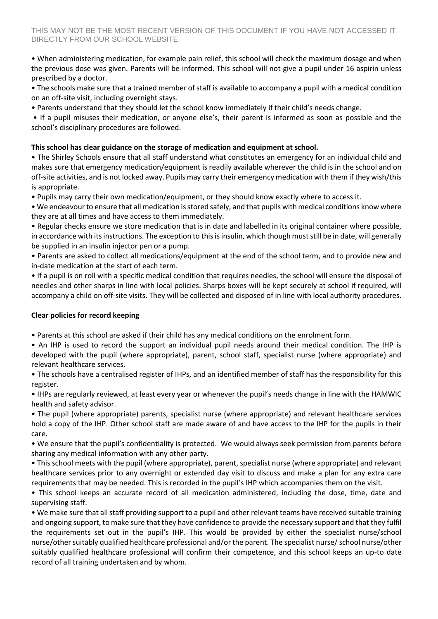• When administering medication, for example pain relief, this school will check the maximum dosage and when the previous dose was given. Parents will be informed. This school will not give a pupil under 16 aspirin unless prescribed by a doctor.

• The schools make sure that a trained member of staff is available to accompany a pupil with a medical condition on an off-site visit, including overnight stays.

• Parents understand that they should let the school know immediately if their child's needs change.

• If a pupil misuses their medication, or anyone else's, their parent is informed as soon as possible and the school's disciplinary procedures are followed.

### **This school has clear guidance on the storage of medication and equipment at school.**

• The Shirley Schools ensure that all staff understand what constitutes an emergency for an individual child and makes sure that emergency medication/equipment is readily available wherever the child is in the school and on off-site activities, and is not locked away. Pupils may carry their emergency medication with them if they wish/this is appropriate.

• Pupils may carry their own medication/equipment, or they should know exactly where to access it.

• We endeavour to ensure that all medication is stored safely, and that pupils with medical conditions know where they are at all times and have access to them immediately.

• Regular checks ensure we store medication that is in date and labelled in its original container where possible, in accordance with its instructions. The exception to this is insulin, which though must still be in date, will generally be supplied in an insulin injector pen or a pump.

• Parents are asked to collect all medications/equipment at the end of the school term, and to provide new and in-date medication at the start of each term.

• If a pupil is on roll with a specific medical condition that requires needles, the school will ensure the disposal of needles and other sharps in line with local policies. Sharps boxes will be kept securely at school if required, will accompany a child on off-site visits. They will be collected and disposed of in line with local authority procedures.

### **Clear policies for record keeping**

• Parents at this school are asked if their child has any medical conditions on the enrolment form.

• An IHP is used to record the support an individual pupil needs around their medical condition. The IHP is developed with the pupil (where appropriate), parent, school staff, specialist nurse (where appropriate) and relevant healthcare services.

• The schools have a centralised register of IHPs, and an identified member of staff has the responsibility for this register.

• IHPs are regularly reviewed, at least every year or whenever the pupil's needs change in line with the HAMWIC health and safety advisor.

• The pupil (where appropriate) parents, specialist nurse (where appropriate) and relevant healthcare services hold a copy of the IHP. Other school staff are made aware of and have access to the IHP for the pupils in their care.

• We ensure that the pupil's confidentiality is protected. We would always seek permission from parents before sharing any medical information with any other party.

• This school meets with the pupil (where appropriate), parent, specialist nurse (where appropriate) and relevant healthcare services prior to any overnight or extended day visit to discuss and make a plan for any extra care requirements that may be needed. This is recorded in the pupil's IHP which accompanies them on the visit.

• This school keeps an accurate record of all medication administered, including the dose, time, date and supervising staff.

• We make sure that all staff providing support to a pupil and other relevant teams have received suitable training and ongoing support, to make sure that they have confidence to provide the necessary support and that they fulfil the requirements set out in the pupil's IHP. This would be provided by either the specialist nurse/school nurse/other suitably qualified healthcare professional and/or the parent. The specialist nurse/ school nurse/other suitably qualified healthcare professional will confirm their competence, and this school keeps an up-to date record of all training undertaken and by whom.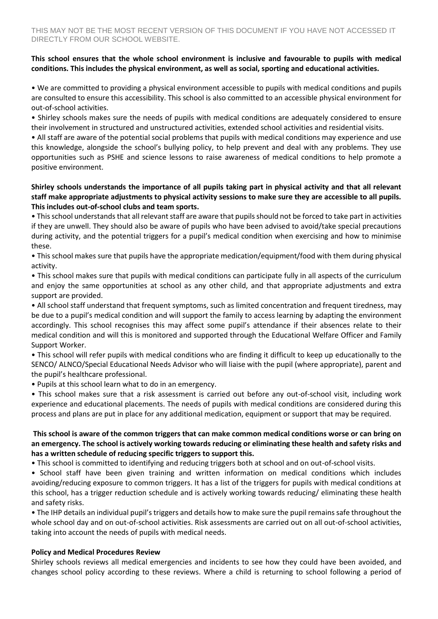### **This school ensures that the whole school environment is inclusive and favourable to pupils with medical conditions. This includes the physical environment, as well as social, sporting and educational activities.**

• We are committed to providing a physical environment accessible to pupils with medical conditions and pupils are consulted to ensure this accessibility. This school is also committed to an accessible physical environment for out-of-school activities.

• Shirley schools makes sure the needs of pupils with medical conditions are adequately considered to ensure their involvement in structured and unstructured activities, extended school activities and residential visits.

• All staff are aware of the potential social problems that pupils with medical conditions may experience and use this knowledge, alongside the school's bullying policy, to help prevent and deal with any problems. They use opportunities such as PSHE and science lessons to raise awareness of medical conditions to help promote a positive environment.

### **Shirley schools understands the importance of all pupils taking part in physical activity and that all relevant staff make appropriate adjustments to physical activity sessions to make sure they are accessible to all pupils. This includes out-of-school clubs and team sports.**

• This school understands that all relevant staff are aware that pupils should not be forced to take part in activities if they are unwell. They should also be aware of pupils who have been advised to avoid/take special precautions during activity, and the potential triggers for a pupil's medical condition when exercising and how to minimise these.

• This school makes sure that pupils have the appropriate medication/equipment/food with them during physical activity.

• This school makes sure that pupils with medical conditions can participate fully in all aspects of the curriculum and enjoy the same opportunities at school as any other child, and that appropriate adjustments and extra support are provided.

• All school staff understand that frequent symptoms, such as limited concentration and frequent tiredness, may be due to a pupil's medical condition and will support the family to access learning by adapting the environment accordingly. This school recognises this may affect some pupil's attendance if their absences relate to their medical condition and will this is monitored and supported through the Educational Welfare Officer and Family Support Worker.

• This school will refer pupils with medical conditions who are finding it difficult to keep up educationally to the SENCO/ ALNCO/Special Educational Needs Advisor who will liaise with the pupil (where appropriate), parent and the pupil's healthcare professional.

• Pupils at this school learn what to do in an emergency.

• This school makes sure that a risk assessment is carried out before any out-of-school visit, including work experience and educational placements. The needs of pupils with medical conditions are considered during this process and plans are put in place for any additional medication, equipment or support that may be required.

#### **This school is aware of the common triggers that can make common medical conditions worse or can bring on an emergency. The school is actively working towards reducing or eliminating these health and safety risks and has a written schedule of reducing specific triggers to support this.**

• This school is committed to identifying and reducing triggers both at school and on out-of-school visits.

• School staff have been given training and written information on medical conditions which includes avoiding/reducing exposure to common triggers. It has a list of the triggers for pupils with medical conditions at this school, has a trigger reduction schedule and is actively working towards reducing/ eliminating these health and safety risks.

• The IHP details an individual pupil's triggers and details how to make sure the pupil remains safe throughout the whole school day and on out-of-school activities. Risk assessments are carried out on all out-of-school activities, taking into account the needs of pupils with medical needs.

### **Policy and Medical Procedures Review**

Shirley schools reviews all medical emergencies and incidents to see how they could have been avoided, and changes school policy according to these reviews. Where a child is returning to school following a period of